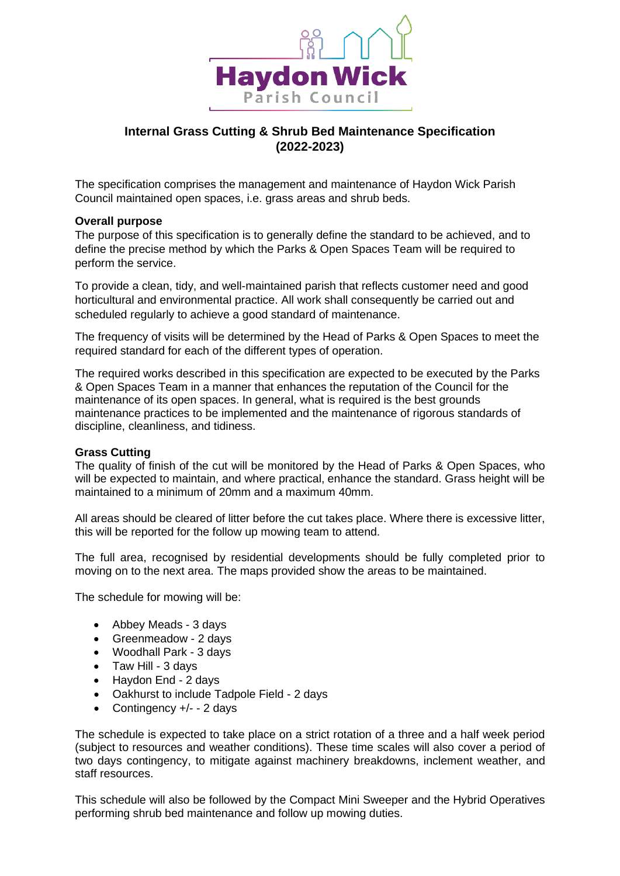

# **Internal Grass Cutting & Shrub Bed Maintenance Specification (2022-2023)**

The specification comprises the management and maintenance of Haydon Wick Parish Council maintained open spaces, i.e. grass areas and shrub beds.

#### **Overall purpose**

The purpose of this specification is to generally define the standard to be achieved, and to define the precise method by which the Parks & Open Spaces Team will be required to perform the service.

To provide a clean, tidy, and well-maintained parish that reflects customer need and good horticultural and environmental practice. All work shall consequently be carried out and scheduled regularly to achieve a good standard of maintenance.

The frequency of visits will be determined by the Head of Parks & Open Spaces to meet the required standard for each of the different types of operation.

The required works described in this specification are expected to be executed by the Parks & Open Spaces Team in a manner that enhances the reputation of the Council for the maintenance of its open spaces. In general, what is required is the best grounds maintenance practices to be implemented and the maintenance of rigorous standards of discipline, cleanliness, and tidiness.

## **Grass Cutting**

The quality of finish of the cut will be monitored by the Head of Parks & Open Spaces, who will be expected to maintain, and where practical, enhance the standard. Grass height will be maintained to a minimum of 20mm and a maximum 40mm.

All areas should be cleared of litter before the cut takes place. Where there is excessive litter, this will be reported for the follow up mowing team to attend.

The full area, recognised by residential developments should be fully completed prior to moving on to the next area. The maps provided show the areas to be maintained.

The schedule for mowing will be:

- Abbey Meads 3 days
- Greenmeadow 2 days
- Woodhall Park 3 days
- Taw Hill 3 days
- Haydon End 2 days
- Oakhurst to include Tadpole Field 2 days
- Contingency +/- 2 days

The schedule is expected to take place on a strict rotation of a three and a half week period (subject to resources and weather conditions). These time scales will also cover a period of two days contingency, to mitigate against machinery breakdowns, inclement weather, and staff resources.

This schedule will also be followed by the Compact Mini Sweeper and the Hybrid Operatives performing shrub bed maintenance and follow up mowing duties.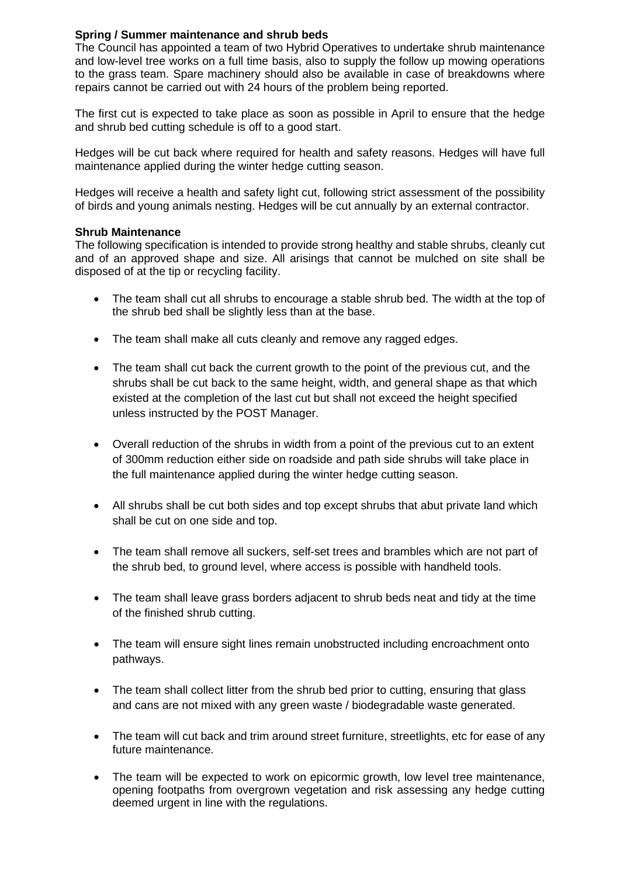# **Spring / Summer maintenance and shrub beds**

The Council has appointed a team of two Hybrid Operatives to undertake shrub maintenance and low-level tree works on a full time basis, also to supply the follow up mowing operations to the grass team. Spare machinery should also be available in case of breakdowns where repairs cannot be carried out with 24 hours of the problem being reported.

The first cut is expected to take place as soon as possible in April to ensure that the hedge and shrub bed cutting schedule is off to a good start.

Hedges will be cut back where required for health and safety reasons. Hedges will have full maintenance applied during the winter hedge cutting season.

Hedges will receive a health and safety light cut, following strict assessment of the possibility of birds and young animals nesting. Hedges will be cut annually by an external contractor.

## **Shrub Maintenance**

The following specification is intended to provide strong healthy and stable shrubs, cleanly cut and of an approved shape and size. All arisings that cannot be mulched on site shall be disposed of at the tip or recycling facility.

- The team shall cut all shrubs to encourage a stable shrub bed. The width at the top of the shrub bed shall be slightly less than at the base.
- The team shall make all cuts cleanly and remove any ragged edges.
- The team shall cut back the current growth to the point of the previous cut, and the shrubs shall be cut back to the same height, width, and general shape as that which existed at the completion of the last cut but shall not exceed the height specified unless instructed by the POST Manager.
- Overall reduction of the shrubs in width from a point of the previous cut to an extent of 300mm reduction either side on roadside and path side shrubs will take place in the full maintenance applied during the winter hedge cutting season.
- All shrubs shall be cut both sides and top except shrubs that abut private land which shall be cut on one side and top.
- The team shall remove all suckers, self-set trees and brambles which are not part of the shrub bed, to ground level, where access is possible with handheld tools.
- The team shall leave grass borders adjacent to shrub beds neat and tidy at the time of the finished shrub cutting.
- The team will ensure sight lines remain unobstructed including encroachment onto pathways.
- The team shall collect litter from the shrub bed prior to cutting, ensuring that glass and cans are not mixed with any green waste / biodegradable waste generated.
- The team will cut back and trim around street furniture, streetlights, etc for ease of any future maintenance.
- The team will be expected to work on epicormic growth, low level tree maintenance, opening footpaths from overgrown vegetation and risk assessing any hedge cutting deemed urgent in line with the regulations.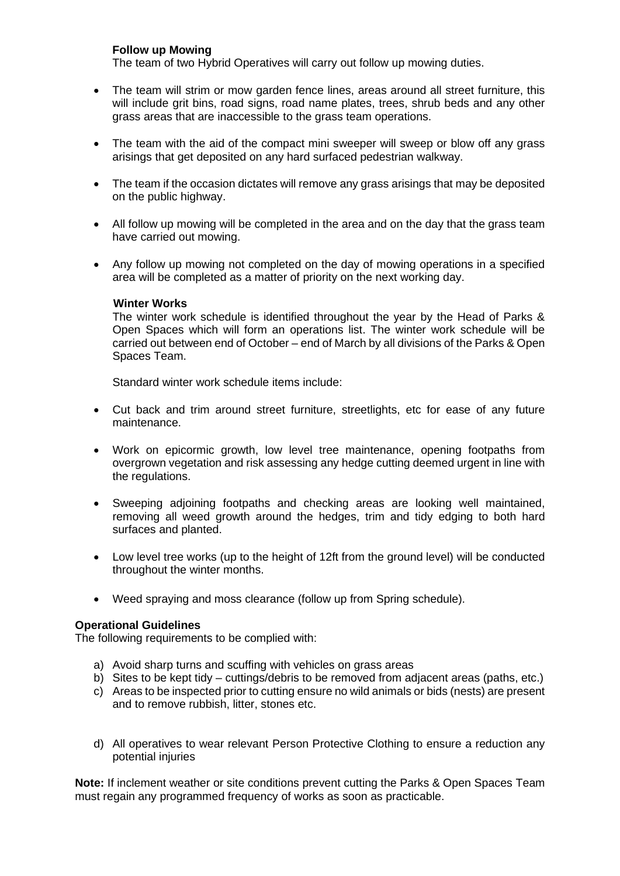# **Follow up Mowing**

The team of two Hybrid Operatives will carry out follow up mowing duties.

- The team will strim or mow garden fence lines, areas around all street furniture, this will include grit bins, road signs, road name plates, trees, shrub beds and any other grass areas that are inaccessible to the grass team operations.
- The team with the aid of the compact mini sweeper will sweep or blow off any grass arisings that get deposited on any hard surfaced pedestrian walkway.
- The team if the occasion dictates will remove any grass arisings that may be deposited on the public highway.
- All follow up mowing will be completed in the area and on the day that the grass team have carried out mowing.
- Any follow up mowing not completed on the day of mowing operations in a specified area will be completed as a matter of priority on the next working day.

#### **Winter Works**

The winter work schedule is identified throughout the year by the Head of Parks & Open Spaces which will form an operations list. The winter work schedule will be carried out between end of October – end of March by all divisions of the Parks & Open Spaces Team.

Standard winter work schedule items include:

- Cut back and trim around street furniture, streetlights, etc for ease of any future maintenance.
- Work on epicormic growth, low level tree maintenance, opening footpaths from overgrown vegetation and risk assessing any hedge cutting deemed urgent in line with the regulations.
- Sweeping adjoining footpaths and checking areas are looking well maintained, removing all weed growth around the hedges, trim and tidy edging to both hard surfaces and planted.
- Low level tree works (up to the height of 12ft from the ground level) will be conducted throughout the winter months.
- Weed spraying and moss clearance (follow up from Spring schedule).

## **Operational Guidelines**

The following requirements to be complied with:

- a) Avoid sharp turns and scuffing with vehicles on grass areas
- b) Sites to be kept tidy cuttings/debris to be removed from adjacent areas (paths, etc.)
- c) Areas to be inspected prior to cutting ensure no wild animals or bids (nests) are present and to remove rubbish, litter, stones etc.
- d) All operatives to wear relevant Person Protective Clothing to ensure a reduction any potential injuries

**Note:** If inclement weather or site conditions prevent cutting the Parks & Open Spaces Team must regain any programmed frequency of works as soon as practicable.